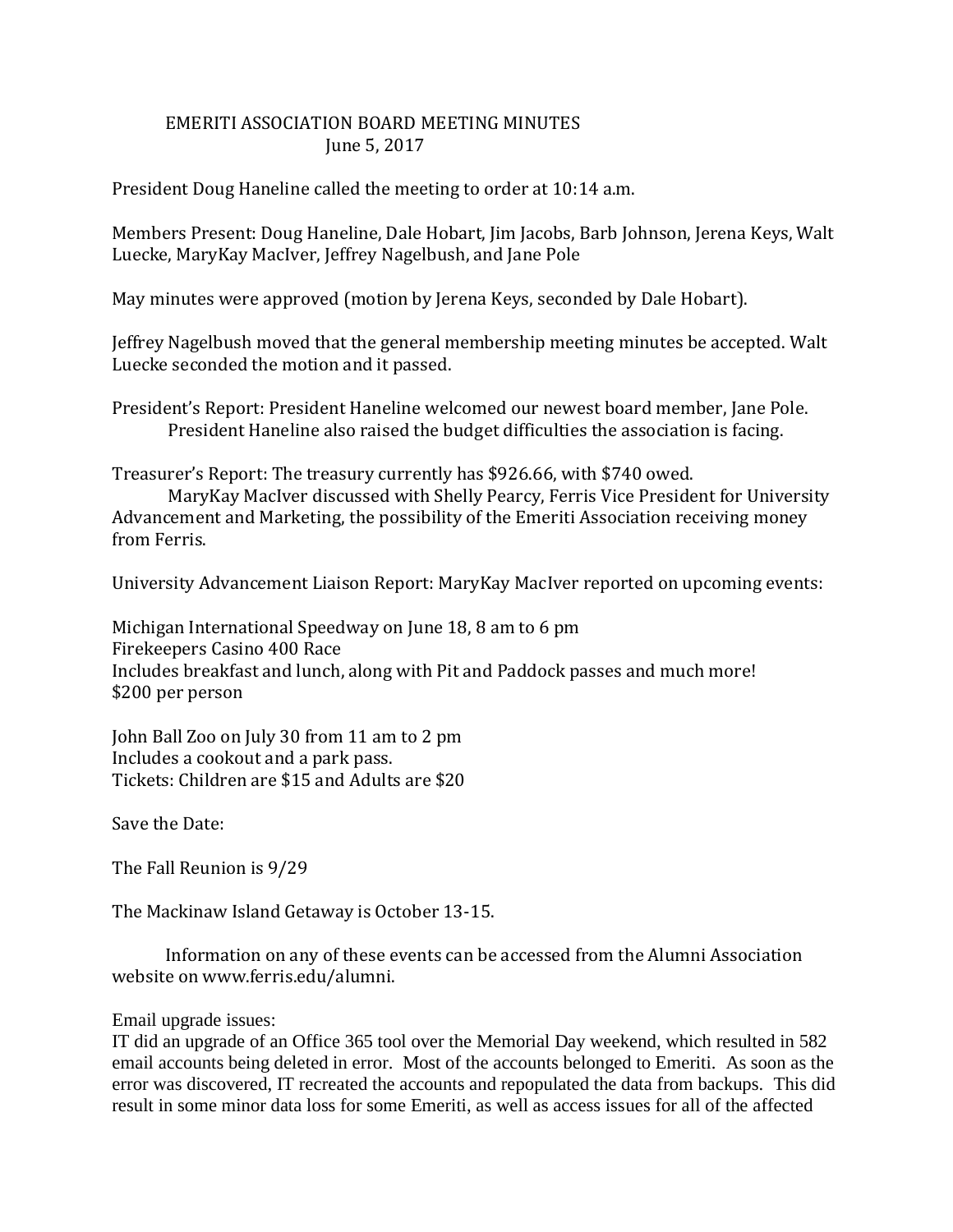## EMERITI ASSOCIATION BOARD MEETING MINUTES June 5, 2017

President Doug Haneline called the meeting to order at 10:14 a.m.

Members Present: Doug Haneline, Dale Hobart, Jim Jacobs, Barb Johnson, Jerena Keys, Walt Luecke, MaryKay MacIver, Jeffrey Nagelbush, and Jane Pole

May minutes were approved (motion by Jerena Keys, seconded by Dale Hobart).

Jeffrey Nagelbush moved that the general membership meeting minutes be accepted. Walt Luecke seconded the motion and it passed.

President's Report: President Haneline welcomed our newest board member, Jane Pole. President Haneline also raised the budget difficulties the association is facing.

Treasurer's Report: The treasury currently has \$926.66, with \$740 owed.

MaryKay MacIver discussed with Shelly Pearcy, Ferris Vice President for University Advancement and Marketing, the possibility of the Emeriti Association receiving money from Ferris.

University Advancement Liaison Report: MaryKay MacIver reported on upcoming events:

Michigan International Speedway on June 18, 8 am to 6 pm Firekeepers Casino 400 Race Includes breakfast and lunch, along with Pit and Paddock passes and much more! \$200 per person

John Ball Zoo on July 30 from 11 am to 2 pm Includes a cookout and a park pass. Tickets: Children are \$15 and Adults are \$20

Save the Date:

The Fall Reunion is 9/29

The Mackinaw Island Getaway is October 13-15.

 Information on any of these events can be accessed from the Alumni Association website on www.ferris.edu/alumni.

## Email upgrade issues:

IT did an upgrade of an Office 365 tool over the Memorial Day weekend, which resulted in 582 email accounts being deleted in error. Most of the accounts belonged to Emeriti. As soon as the error was discovered, IT recreated the accounts and repopulated the data from backups. This did result in some minor data loss for some Emeriti, as well as access issues for all of the affected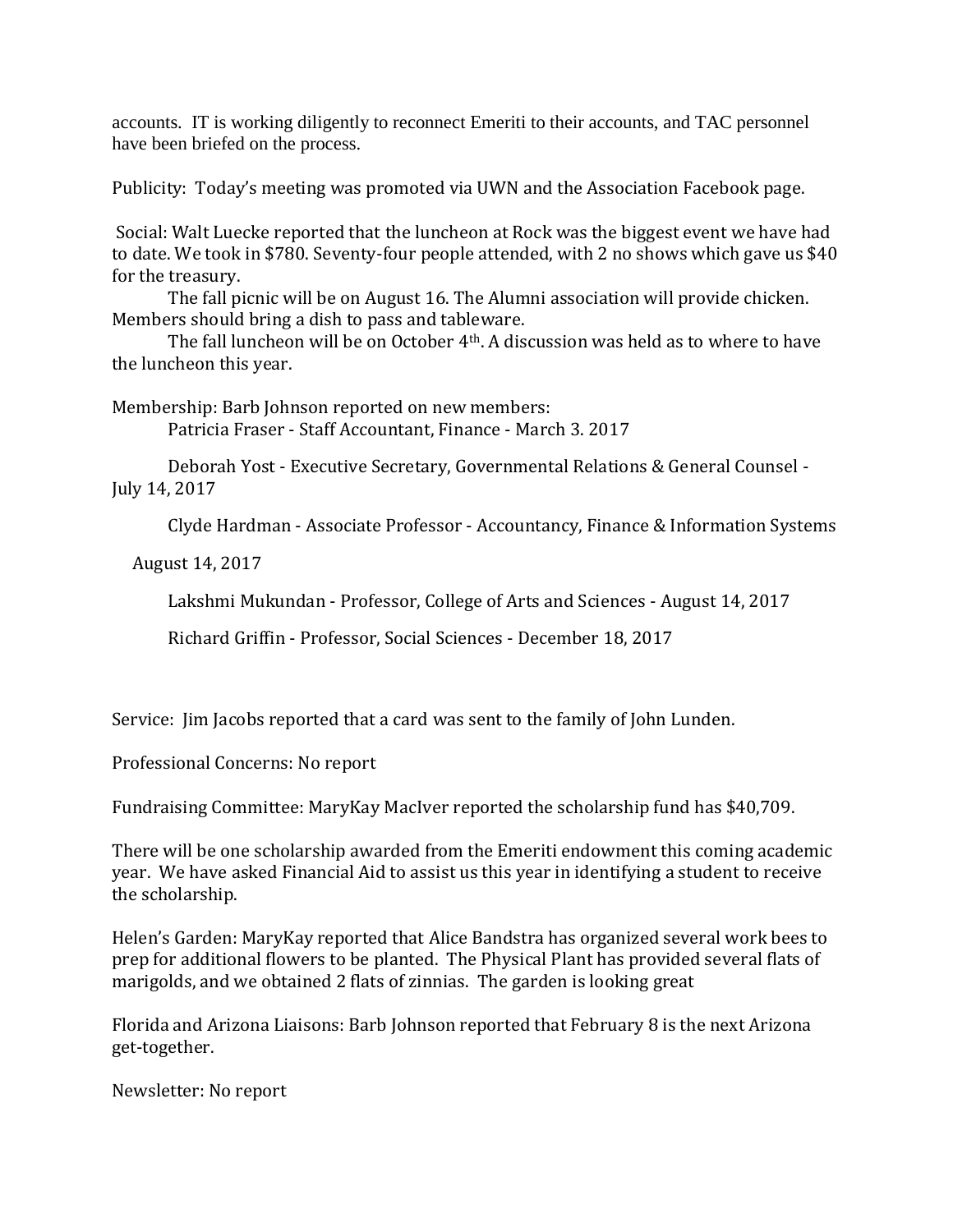accounts. IT is working diligently to reconnect Emeriti to their accounts, and TAC personnel have been briefed on the process.

Publicity: Today's meeting was promoted via UWN and the Association Facebook page.

Social: Walt Luecke reported that the luncheon at Rock was the biggest event we have had to date. We took in \$780. Seventy-four people attended, with 2 no shows which gave us \$40 for the treasury.

The fall picnic will be on August 16. The Alumni association will provide chicken. Members should bring a dish to pass and tableware.

The fall luncheon will be on October 4th. A discussion was held as to where to have the luncheon this year.

Membership: Barb Johnson reported on new members: Patricia Fraser - Staff Accountant, Finance - March 3. 2017

Deborah Yost - Executive Secretary, Governmental Relations & General Counsel - July 14, 2017

Clyde Hardman - Associate Professor - Accountancy, Finance & Information Systems

August 14, 2017

Lakshmi Mukundan - Professor, College of Arts and Sciences - August 14, 2017

Richard Griffin - Professor, Social Sciences - December 18, 2017

Service: Jim Jacobs reported that a card was sent to the family of John Lunden.

Professional Concerns: No report

Fundraising Committee: MaryKay MacIver reported the scholarship fund has \$40,709.

There will be one scholarship awarded from the Emeriti endowment this coming academic year. We have asked Financial Aid to assist us this year in identifying a student to receive the scholarship.

Helen's Garden: MaryKay reported that Alice Bandstra has organized several work bees to prep for additional flowers to be planted. The Physical Plant has provided several flats of marigolds, and we obtained 2 flats of zinnias. The garden is looking great

Florida and Arizona Liaisons: Barb Johnson reported that February 8 is the next Arizona get-together.

Newsletter: No report